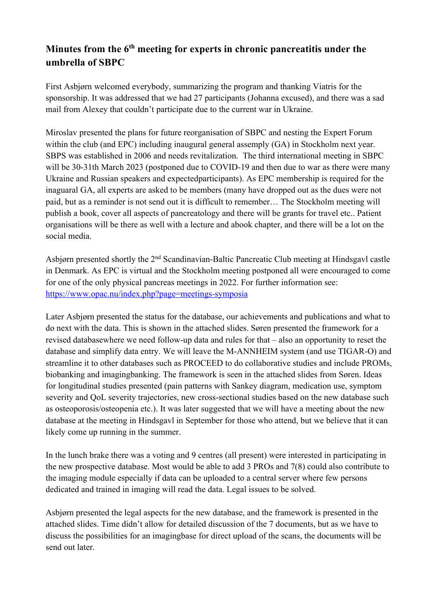## **Minutes from the 6th meeting for experts in chronic pancreatitis under the umbrella of SBPC**

First Asbjørn welcomed everybody, summarizing the program and thanking Viatris for the sponsorship. It was addressed that we had 27 participants (Johanna excused), and there was a sad mail from Alexey that couldn't participate due to the current war in Ukraine.

Miroslav presented the plans for future reorganisation of SBPC and nesting the Expert Forum within the club (and EPC) including inaugural general assemply (GA) in Stockholm next year. SBPS was established in 2006 and needs revitalization. The third international meeting in SBPC will be 30-31th March 2023 (postponed due to COVID-19 and then due to war as there were many Ukraine and Russian speakers and expectedparticipants). As EPC membership is required for the inaguaral GA, all experts are asked to be members (many have dropped out as the dues were not paid, but as a reminder is not send out it is difficult to remember… The Stockholm meeting will publish a book, cover all aspects of pancreatology and there will be grants for travel etc.. Patient organisations will be there as well with a lecture and abook chapter, and there will be a lot on the social media.

Asbjørn presented shortly the 2<sup>nd</sup> Scandinavian-Baltic Pancreatic Club meeting at Hindsgavl castle in Denmark. As EPC is virtual and the Stockholm meeting postponed all were encouraged to come for one of the only physical pancreas meetings in 2022. For further information see: https://www.opac.nu/index.php?page=meetings-symposia

Later Asbjørn presented the status for the database, our achievements and publications and what to do next with the data. This is shown in the attached slides. Søren presented the framework for a revised databasewhere we need follow-up data and rules for that – also an opportunity to reset the database and simplify data entry. We will leave the M-ANNHEIM system (and use TIGAR-O) and streamline it to other databases such as PROCEED to do collaborative studies and include PROMs, biobanking and imagingbanking. The framework is seen in the attached slides from Søren. Ideas for longitudinal studies presented (pain patterns with Sankey diagram, medication use, symptom severity and QoL severity trajectories, new cross-sectional studies based on the new database such as osteoporosis/osteopenia etc.). It was later suggested that we will have a meeting about the new database at the meeting in Hindsgavl in September for those who attend, but we believe that it can likely come up running in the summer.

In the lunch brake there was a voting and 9 centres (all present) were interested in participating in the new prospective database. Most would be able to add 3 PROs and 7(8) could also contribute to the imaging module especially if data can be uploaded to a central server where few persons dedicated and trained in imaging will read the data. Legal issues to be solved.

Asbjørn presented the legal aspects for the new database, and the framework is presented in the attached slides. Time didn't allow for detailed discussion of the 7 documents, but as we have to discuss the possibilities for an imagingbase for direct upload of the scans, the documents will be send out later.